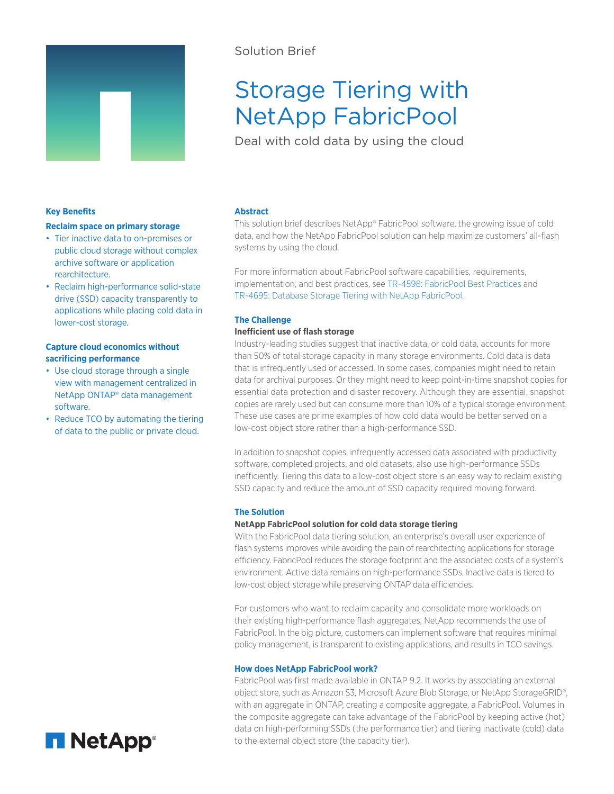

# Solution Brief

# Storage Tiering with NetApp FabricPool

Deal with cold data by using the cloud

# **Key Benefits**

### **Reclaim space on primary storage**

- Tier inactive data to on-premises or public cloud storage without complex archive software or application rearchitecture.
- Reclaim high-performance solid-state drive (SSD) capacity transparently to applications while placing cold data in lower-cost storage.

# **Capture cloud economics without sacrificing performance**

- Use cloud storage through a single view with management centralized in NetApp ONTAP® data management software.
- Reduce TCO by automating the tiering of data to the public or private cloud.

# **Abstract**

This solution brief describes NetApp® FabricPool software, the growing issue of cold data, and how the NetApp FabricPool solution can help maximize customers' all-flash systems by using the cloud.

For more information about FabricPool software capabilities, requirements, implementation, and best practices, see [TR-4598: FabricPool Best Practices](https://www.netapp.com/us/media/tr-4598.pdf) and [TR-4695: Database Storage Tiering with NetApp FabricPool.](https://www.netapp.com/us/media/tr-4695.pdf)

# **The Challenge**

## **Inefficient use of flash storage**

Industry-leading studies suggest that inactive data, or cold data, accounts for more than 50% of total storage capacity in many storage environments. Cold data is data that is infrequently used or accessed. In some cases, companies might need to retain data for archival purposes. Or they might need to keep point-in-time snapshot copies for essential data protection and disaster recovery. Although they are essential, snapshot copies are rarely used but can consume more than 10% of a typical storage environment. These use cases are prime examples of how cold data would be better served on a low-cost object store rather than a high-performance SSD.

In addition to snapshot copies, infrequently accessed data associated with productivity software, completed projects, and old datasets, also use high-performance SSDs inefficiently. Tiering this data to a low-cost object store is an easy way to reclaim existing SSD capacity and reduce the amount of SSD capacity required moving forward.

#### **The Solution**

#### **NetApp FabricPool solution for cold data storage tiering**

With the FabricPool data tiering solution, an enterprise's overall user experience of flash systems improves while avoiding the pain of rearchitecting applications for storage efficiency. FabricPool reduces the storage footprint and the associated costs of a system's environment. Active data remains on high-performance SSDs. Inactive data is tiered to low-cost object storage while preserving ONTAP data efficiencies.

For customers who want to reclaim capacity and consolidate more workloads on their existing high-performance flash aggregates, NetApp recommends the use of FabricPool. In the big picture, customers can implement software that requires minimal policy management, is transparent to existing applications, and results in TCO savings.

#### **How does NetApp FabricPool work?**

FabricPool was first made available in ONTAP 9.2. It works by associating an external object store, such as Amazon S3, Microsoft Azure Blob Storage, or NetApp StorageGRID®, with an aggregate in ONTAP, creating a composite aggregate, a FabricPool. Volumes in the composite aggregate can take advantage of the FabricPool by keeping active (hot) data on high-performing SSDs (the performance tier) and tiering inactivate (cold) data to the external object store (the capacity tier).